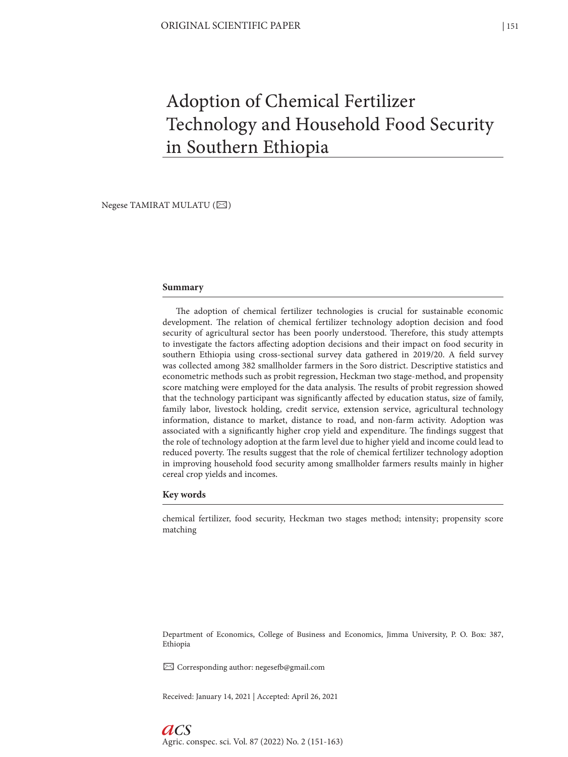# Adoption of Chemical Fertilizer Technology and Household Food Security in Southern Ethiopia

Negese TAMIRAT MULATU ( $\boxtimes$ )

# **Summary**

The adoption of chemical fertilizer technologies is crucial for sustainable economic development. The relation of chemical fertilizer technology adoption decision and food security of agricultural sector has been poorly understood. Therefore, this study attempts to investigate the factors affecting adoption decisions and their impact on food security in southern Ethiopia using cross-sectional survey data gathered in 2019/20. A field survey was collected among 382 smallholder farmers in the Soro district. Descriptive statistics and econometric methods such as probit regression, Heckman two stage-method, and propensity score matching were employed for the data analysis. The results of probit regression showed that the technology participant was significantly affected by education status, size of family, family labor, livestock holding, credit service, extension service, agricultural technology information, distance to market, distance to road, and non-farm activity. Adoption was associated with a significantly higher crop yield and expenditure. The findings suggest that the role of technology adoption at the farm level due to higher yield and income could lead to reduced poverty. The results suggest that the role of chemical fertilizer technology adoption in improving household food security among smallholder farmers results mainly in higher cereal crop yields and incomes.

# **Key words**

chemical fertilizer, food security, Heckman two stages method; intensity; propensity score matching

Department of Economics, College of Business and Economics, Jimma University, P. O. Box: 387, Ethiopia

 $\boxtimes$  Corresponding author: negesefb@gmail.com

Received: January 14, 2021 | Accepted: April 26, 2021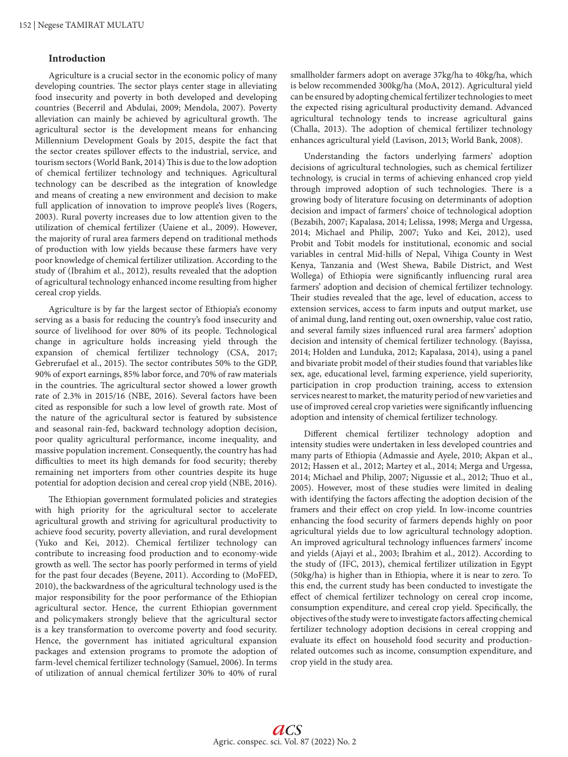# **Introduction**

Agriculture is a crucial sector in the economic policy of many developing countries. The sector plays center stage in alleviating food insecurity and poverty in both developed and developing countries (Becerril and Abdulai, 2009; Mendola, 2007). Poverty alleviation can mainly be achieved by agricultural growth. The agricultural sector is the development means for enhancing Millennium Development Goals by 2015, despite the fact that the sector creates spillover effects to the industrial, service, and tourism sectors (World Bank, 2014) This is due to the low adoption of chemical fertilizer technology and techniques. Agricultural technology can be described as the integration of knowledge and means of creating a new environment and decision to make full application of innovation to improve people's lives (Rogers, 2003). Rural poverty increases due to low attention given to the utilization of chemical fertilizer (Uaiene et al., 2009). However, the majority of rural area farmers depend on traditional methods of production with low yields because these farmers have very poor knowledge of chemical fertilizer utilization. According to the study of (Ibrahim et al., 2012), results revealed that the adoption of agricultural technology enhanced income resulting from higher cereal crop yields.

Agriculture is by far the largest sector of Ethiopia's economy serving as a basis for reducing the country's food insecurity and source of livelihood for over 80% of its people. Technological change in agriculture holds increasing yield through the expansion of chemical fertilizer technology (CSA, 2017; Gebrerufael et al., 2015). The sector contributes 50% to the GDP, 90% of export earnings, 85% labor force, and 70% of raw materials in the countries. The agricultural sector showed a lower growth rate of 2.3% in 2015/16 (NBE, 2016). Several factors have been cited as responsible for such a low level of growth rate. Most of the nature of the agricultural sector is featured by subsistence and seasonal rain-fed, backward technology adoption decision, poor quality agricultural performance, income inequality, and massive population increment. Consequently, the country has had difficulties to meet its high demands for food security; thereby remaining net importers from other countries despite its huge potential for adoption decision and cereal crop yield (NBE, 2016).

The Ethiopian government formulated policies and strategies with high priority for the agricultural sector to accelerate agricultural growth and striving for agricultural productivity to achieve food security, poverty alleviation, and rural development (Yuko and Kei, 2012). Chemical fertilizer technology can contribute to increasing food production and to economy-wide growth as well. The sector has poorly performed in terms of yield for the past four decades (Beyene, 2011). According to (MoFED, 2010), the backwardness of the agricultural technology used is the major responsibility for the poor performance of the Ethiopian agricultural sector. Hence, the current Ethiopian government and policymakers strongly believe that the agricultural sector is a key transformation to overcome poverty and food security. Hence, the government has initiated agricultural expansion packages and extension programs to promote the adoption of farm-level chemical fertilizer technology (Samuel, 2006). In terms of utilization of annual chemical fertilizer 30% to 40% of rural smallholder farmers adopt on average 37kg/ha to 40kg/ha, which is below recommended 300kg/ha (MoA, 2012). Agricultural yield can be ensured by adopting chemical fertilizer technologies to meet the expected rising agricultural productivity demand. Advanced agricultural technology tends to increase agricultural gains (Challa, 2013). The adoption of chemical fertilizer technology enhances agricultural yield (Lavison, 2013; World Bank, 2008).

Understanding the factors underlying farmers' adoption decisions of agricultural technologies, such as chemical fertilizer technology, is crucial in terms of achieving enhanced crop yield through improved adoption of such technologies. There is a growing body of literature focusing on determinants of adoption decision and impact of farmers' choice of technological adoption (Bezabih, 2007; Kapalasa, 2014; Lelissa, 1998; Merga and Urgessa, 2014; Michael and Philip, 2007; Yuko and Kei, 2012), used Probit and Tobit models for institutional, economic and social variables in central Mid-hills of Nepal, Vihiga County in West Kenya, Tanzania and (West Shewa, Babile District, and West Wollega) of Ethiopia were significantly influencing rural area farmers' adoption and decision of chemical fertilizer technology. Their studies revealed that the age, level of education, access to extension services, access to farm inputs and output market, use of animal dung, land renting out, oxen ownership, value cost ratio, and several family sizes influenced rural area farmers' adoption decision and intensity of chemical fertilizer technology. (Bayissa, 2014; Holden and Lunduka, 2012; Kapalasa, 2014), using a panel and bivariate probit model of their studies found that variables like sex, age, educational level, farming experience, yield superiority, participation in crop production training, access to extension services nearest to market, the maturity period of new varieties and use of improved cereal crop varieties were significantly influencing adoption and intensity of chemical fertilizer technology.

Different chemical fertilizer technology adoption and intensity studies were undertaken in less developed countries and many parts of Ethiopia (Admassie and Ayele, 2010; Akpan et al., 2012; Hassen et al., 2012; Martey et al., 2014; Merga and Urgessa, 2014; Michael and Philip, 2007; Nigussie et al., 2012; Thuo et al., 2005). However, most of these studies were limited in dealing with identifying the factors affecting the adoption decision of the framers and their effect on crop yield. In low-income countries enhancing the food security of farmers depends highly on poor agricultural yields due to low agricultural technology adoption. An improved agricultural technology influences farmers' income and yields (Ajayi et al., 2003; Ibrahim et al., 2012). According to the study of (IFC, 2013), chemical fertilizer utilization in Egypt (50kg/ha) is higher than in Ethiopia, where it is near to zero. To this end, the current study has been conducted to investigate the effect of chemical fertilizer technology on cereal crop income, consumption expenditure, and cereal crop yield. Specifically, the objectives of the study were to investigate factors affecting chemical fertilizer technology adoption decisions in cereal cropping and evaluate its effect on household food security and productionrelated outcomes such as income, consumption expenditure, and crop yield in the study area.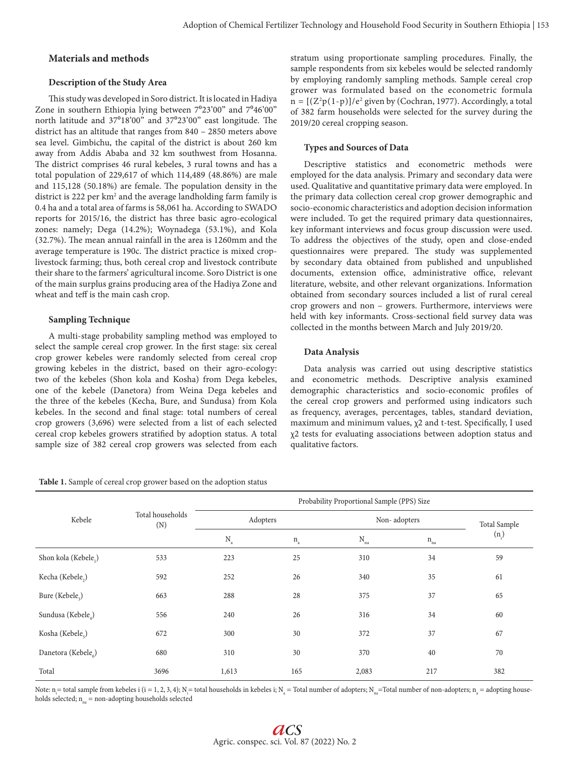# **Materials and methods**

#### **Description of the Study Area**

This study was developed in Soro district. It is located in Hadiya Zone in southern Ethiopia lying between  $7^{\circ}23'00''$  and  $7^{\circ}46'00''$ north latitude and 37°18'00" and 37°23'00" east longitude. The district has an altitude that ranges from 840 – 2850 meters above sea level. Gimbichu, the capital of the district is about 260 km away from Addis Ababa and 32 km southwest from Hosanna. The district comprises 46 rural kebeles, 3 rural towns and has a total population of 229,617 of which 114,489 (48.86%) are male and 115,128 (50.18%) are female. The population density in the district is 222 per km<sup>2</sup> and the average landholding farm family is 0.4 ha and a total area of farms is 58,061 ha. According to SWADO reports for 2015/16, the district has three basic agro-ecological zones: namely; Dega (14.2%); Woynadega (53.1%), and Kola (32.7%). The mean annual rainfall in the area is 1260mm and the average temperature is 190c. The district practice is mixed croplivestock farming; thus, both cereal crop and livestock contribute their share to the farmers' agricultural income. Soro District is one of the main surplus grains producing area of the Hadiya Zone and wheat and teff is the main cash crop.

#### **Sampling Technique**

A multi-stage probability sampling method was employed to select the sample cereal crop grower. In the first stage: six cereal crop grower kebeles were randomly selected from cereal crop growing kebeles in the district, based on their agro-ecology: two of the kebeles (Shon kola and Kosha) from Dega kebeles, one of the kebele (Danetora) from Weina Dega kebeles and the three of the kebeles (Kecha, Bure, and Sundusa) from Kola kebeles. In the second and final stage: total numbers of cereal crop growers (3,696) were selected from a list of each selected cereal crop kebeles growers stratified by adoption status. A total sample size of 382 cereal crop growers was selected from each

stratum using proportionate sampling procedures. Finally, the sample respondents from six kebeles would be selected randomly by employing randomly sampling methods. Sample cereal crop grower was formulated based on the econometric formula  $n = \frac{(Z^2p(1-p)})/e^2$  given by (Cochran, 1977). Accordingly, a total of 382 farm households were selected for the survey during the 2019/20 cereal cropping season.

#### **Types and Sources of Data**

Descriptive statistics and econometric methods were employed for the data analysis. Primary and secondary data were used. Qualitative and quantitative primary data were employed. In the primary data collection cereal crop grower demographic and socio-economic characteristics and adoption decision information were included. To get the required primary data questionnaires, key informant interviews and focus group discussion were used. To address the objectives of the study, open and close-ended questionnaires were prepared. The study was supplemented by secondary data obtained from published and unpublished documents, extension office, administrative office, relevant literature, website, and other relevant organizations. Information obtained from secondary sources included a list of rural cereal crop growers and non – growers. Furthermore, interviews were held with key informants. Cross-sectional field survey data was collected in the months between March and July 2019/20.

#### **Data Analysis**

Data analysis was carried out using descriptive statistics and econometric methods. Descriptive analysis examined demographic characteristics and socio-economic profiles of the cereal crop growers and performed using indicators such as frequency, averages, percentages, tables, standard deviation, maximum and minimum values, χ2 and t-test. Specifically, I used χ2 tests for evaluating associations between adoption status and qualitative factors.

| Kebele                          |                         | Probability Proportional Sample (PPS) Size |              |              |                  |         |  |
|---------------------------------|-------------------------|--------------------------------------------|--------------|--------------|------------------|---------|--|
|                                 | Total households<br>(N) | Adopters                                   |              |              | Non-adopters     |         |  |
|                                 |                         | $\rm N_{_a}$                               | $\rm n_{_a}$ | $N_{\rm na}$ | $\rm n_{\rm na}$ | $(n_i)$ |  |
| Shon kola (Kebele,)             | 533                     | 223                                        | 25           | 310          | 34               | 59      |  |
| Kecha (Kebele <sub>2</sub> )    | 592                     | 252                                        | 26           | 340          | 35               | 61      |  |
| Bure (Kebele,)                  | 663                     | 288                                        | 28           | 375          | 37               | 65      |  |
| Sundusa (Kebele)                | 556                     | 240                                        | 26           | 316          | 34               | 60      |  |
| Kosha (Kebele <sub>5</sub> )    | 672                     | 300                                        | 30           | 372          | 37               | 67      |  |
| Danetora (Kebele <sub>6</sub> ) | 680                     | 310                                        | 30           | 370          | 40               | 70      |  |
| Total                           | 3696                    | 1,613                                      | 165          | 2,083        | 217              | 382     |  |

Note: n<sub>i</sub>= total sample from kebeles i (i = 1, 2, 3, 4); N<sub>i</sub>= total households in kebeles i; N<sub>a</sub> = Total number of adopters; N<sub>na</sub>=Total number of non-adopters; n<sub>a</sub> = adopting households selected;  $n_{ns}$  = non-adopting households selected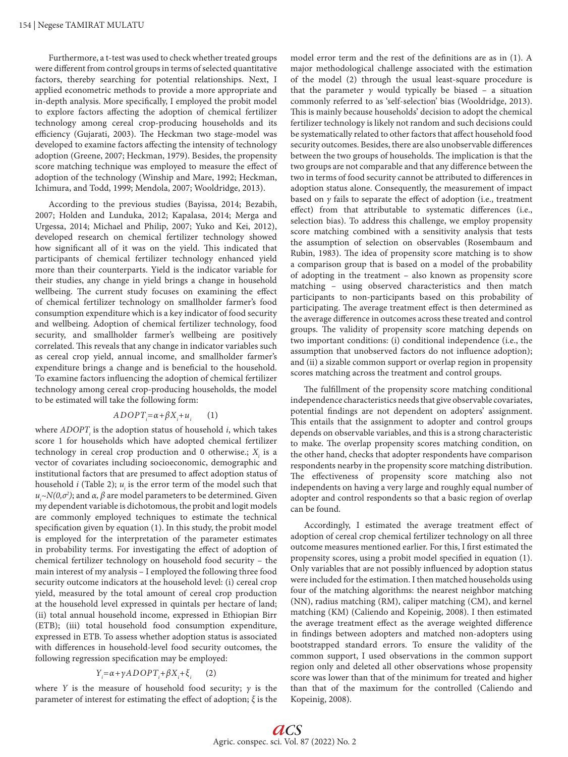Furthermore, a t-test was used to check whether treated groups were different from control groups in terms of selected quantitative factors, thereby searching for potential relationships. Next, I applied econometric methods to provide a more appropriate and in-depth analysis. More specifically, I employed the probit model to explore factors affecting the adoption of chemical fertilizer technology among cereal crop-producing households and its efficiency (Gujarati, 2003). The Heckman two stage-model was developed to examine factors affecting the intensity of technology adoption (Greene, 2007; Heckman, 1979). Besides, the propensity score matching technique was employed to measure the effect of adoption of the technology (Winship and Mare, 1992; Heckman, Ichimura, and Todd, 1999; Mendola, 2007; Wooldridge, 2013).

According to the previous studies (Bayissa, 2014; Bezabih, 2007; Holden and Lunduka, 2012; Kapalasa, 2014; Merga and Urgessa, 2014; Michael and Philip, 2007; Yuko and Kei, 2012), developed research on chemical fertilizer technology showed how significant all of it was on the yield. This indicated that participants of chemical fertilizer technology enhanced yield more than their counterparts. Yield is the indicator variable for their studies, any change in yield brings a change in household wellbeing. The current study focuses on examining the effect of chemical fertilizer technology on smallholder farmer's food consumption expenditure which is a key indicator of food security and wellbeing. Adoption of chemical fertilizer technology, food security, and smallholder farmer's wellbeing are positively correlated. This reveals that any change in indicator variables such as cereal crop yield, annual income, and smallholder farmer's expenditure brings a change and is beneficial to the household. To examine factors influencing the adoption of chemical fertilizer technology among cereal crop-producing households, the model to be estimated will take the following form:

$$
ADOPT_i = \alpha + \beta X_i + u_i \qquad (1)
$$

where *ADOPT*<sub>;</sub> is the adoption status of household *i*, which takes score 1 for households which have adopted chemical fertilizer technology in cereal crop production and  $0$  otherwise.;  $X_i$  is a vector of covariates including socioeconomic, demographic and institutional factors that are presumed to affect adoption status of household  $i$  (Table 2);  $u_i$  is the error term of the model such that *u*<sub>*i*</sub> $\sim$ N(0,σ<sup>2</sup>); and *α*, *β* are model parameters to be determined. Given my dependent variable is dichotomous, the probit and logit models are commonly employed techniques to estimate the technical specification given by equation (1). In this study, the probit model is employed for the interpretation of the parameter estimates in probability terms. For investigating the effect of adoption of chemical fertilizer technology on household food security – the main interest of my analysis – I employed the following three food security outcome indicators at the household level: (i) cereal crop yield, measured by the total amount of cereal crop production at the household level expressed in quintals per hectare of land; (ii) total annual household income, expressed in Ethiopian Birr (ETB); (iii) total household food consumption expenditure, expressed in ETB. To assess whether adoption status is associated with differences in household-level food security outcomes, the following regression specification may be employed:

#### *Y*<sub>*i*</sub> = α+γADOPT<sub>*i*</sub>+βX<sub>*i*</sub>+ξ<sub>*i*</sub> (2)

where *Y* is the measure of household food security;  $\gamma$  is the parameter of interest for estimating the effect of adoption; *ξ* is the

model error term and the rest of the definitions are as in (1). A major methodological challenge associated with the estimation of the model (2) through the usual least-square procedure is that the parameter  $\gamma$  would typically be biased – a situation commonly referred to as 'self-selection' bias (Wooldridge, 2013). This is mainly because households' decision to adopt the chemical fertilizer technology is likely not random and such decisions could be systematically related to other factors that affect household food security outcomes. Besides, there are also unobservable differences between the two groups of households. The implication is that the two groups are not comparable and that any difference between the two in terms of food security cannot be attributed to differences in adoption status alone. Consequently, the measurement of impact based on *γ* fails to separate the effect of adoption (i.e., treatment effect) from that attributable to systematic differences (i.e., selection bias). To address this challenge, we employ propensity score matching combined with a sensitivity analysis that tests the assumption of selection on observables (Rosembaum and Rubin, 1983). The idea of propensity score matching is to show a comparison group that is based on a model of the probability of adopting in the treatment – also known as propensity score matching – using observed characteristics and then match participants to non-participants based on this probability of participating. The average treatment effect is then determined as the average difference in outcomes across these treated and control groups. The validity of propensity score matching depends on two important conditions: (i) conditional independence (i.e., the assumption that unobserved factors do not influence adoption); and (ii) a sizable common support or overlap region in propensity scores matching across the treatment and control groups.

The fulfillment of the propensity score matching conditional independence characteristics needs that give observable covariates, potential findings are not dependent on adopters' assignment. This entails that the assignment to adopter and control groups depends on observable variables, and this is a strong characteristic to make. The overlap propensity scores matching condition, on the other hand, checks that adopter respondents have comparison respondents nearby in the propensity score matching distribution. The effectiveness of propensity score matching also not independents on having a very large and roughly equal number of adopter and control respondents so that a basic region of overlap can be found.

Accordingly, I estimated the average treatment effect of adoption of cereal crop chemical fertilizer technology on all three outcome measures mentioned earlier. For this, I first estimated the propensity scores, using a probit model specified in equation (1). Only variables that are not possibly influenced by adoption status were included for the estimation. I then matched households using four of the matching algorithms: the nearest neighbor matching (NN), radius matching (RM), caliper matching (CM), and kernel matching (KM) (Caliendo and Kopeinig, 2008). I then estimated the average treatment effect as the average weighted difference in findings between adopters and matched non-adopters using bootstrapped standard errors. To ensure the validity of the common support, I used observations in the common support region only and deleted all other observations whose propensity score was lower than that of the minimum for treated and higher than that of the maximum for the controlled (Caliendo and Kopeinig, 2008).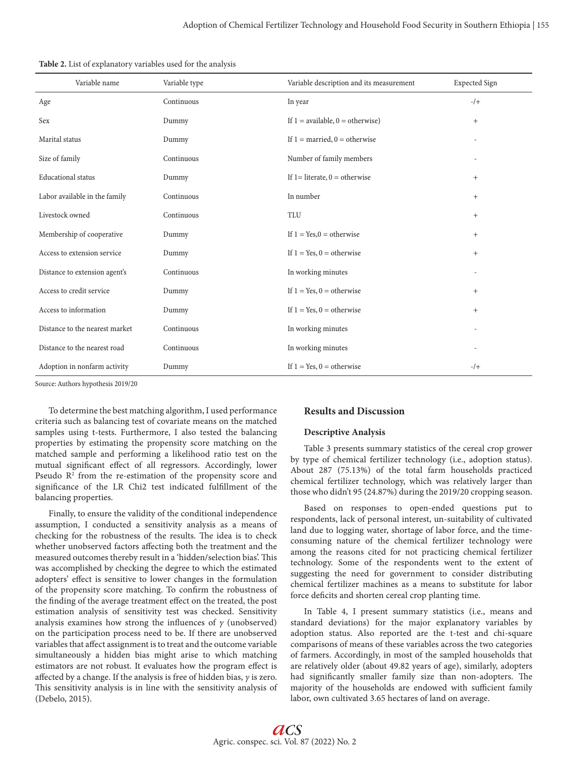| Variable name                  | Variable type | Variable description and its measurement          | <b>Expected Sign</b> |
|--------------------------------|---------------|---------------------------------------------------|----------------------|
| Age                            | Continuous    | In year                                           | $-$ /+               |
| Sex                            | Dummy         | If $1 = \text{available}, 0 = \text{otherwise}$ ) | $^{+}$               |
| Marital status                 | Dummy         | If $1 =$ married, $0 =$ otherwise                 |                      |
| Size of family                 | Continuous    | Number of family members                          |                      |
| <b>Educational</b> status      | Dummy         | If $1 =$ literate, $0 =$ otherwise                | $\! + \!\!\!\!$      |
| Labor available in the family  | Continuous    | In number                                         | $^{+}$               |
| Livestock owned                | Continuous    | <b>TLU</b>                                        | $^{+}$               |
| Membership of cooperative      | Dummy         | If $1 = Yes, 0 = otherwise$                       | $^{+}$               |
| Access to extension service    | Dummy         | If $1 = Yes$ , $0 = otherwise$                    | $^{+}$               |
| Distance to extension agent's  | Continuous    | In working minutes                                |                      |
| Access to credit service       | Dummy         | If $1 = Yes$ , $0 = otherwise$                    | $^{+}$               |
| Access to information          | Dummy         | If $1 = Yes$ , $0 = otherwise$                    | $^{+}$               |
| Distance to the nearest market | Continuous    | In working minutes                                |                      |
| Distance to the nearest road   | Continuous    | In working minutes                                |                      |
| Adoption in nonfarm activity   | Dummy         | If $1 = Yes$ , $0 = otherwise$                    | $-$ /+               |

Source: Authors hypothesis 2019/20

To determine the best matching algorithm, I used performance criteria such as balancing test of covariate means on the matched samples using t-tests. Furthermore, I also tested the balancing properties by estimating the propensity score matching on the matched sample and performing a likelihood ratio test on the mutual significant effect of all regressors. Accordingly, lower Pseudo  $\mathbb{R}^2$  from the re-estimation of the propensity score and significance of the LR Chi2 test indicated fulfillment of the balancing properties.

Finally, to ensure the validity of the conditional independence assumption, I conducted a sensitivity analysis as a means of checking for the robustness of the results. The idea is to check whether unobserved factors affecting both the treatment and the measured outcomes thereby result in a 'hidden/selection bias'. This was accomplished by checking the degree to which the estimated adopters' effect is sensitive to lower changes in the formulation of the propensity score matching. To confirm the robustness of the finding of the average treatment effect on the treated, the post estimation analysis of sensitivity test was checked. Sensitivity analysis examines how strong the influences of  $\gamma$  (unobserved) on the participation process need to be. If there are unobserved variables that affect assignment is to treat and the outcome variable simultaneously a hidden bias might arise to which matching estimators are not robust. It evaluates how the program effect is affected by a change. If the analysis is free of hidden bias, *γ* is zero. This sensitivity analysis is in line with the sensitivity analysis of (Debelo, 2015).

# **Results and Discussion**

# **Descriptive Analysis**

Table 3 presents summary statistics of the cereal crop grower by type of chemical fertilizer technology (i.e., adoption status). About 287 (75.13%) of the total farm households practiced chemical fertilizer technology, which was relatively larger than those who didn't 95 (24.87%) during the 2019/20 cropping season.

Based on responses to open-ended questions put to respondents, lack of personal interest, un-suitability of cultivated land due to logging water, shortage of labor force, and the timeconsuming nature of the chemical fertilizer technology were among the reasons cited for not practicing chemical fertilizer technology. Some of the respondents went to the extent of suggesting the need for government to consider distributing chemical fertilizer machines as a means to substitute for labor force deficits and shorten cereal crop planting time.

In Table 4, I present summary statistics (i.e., means and standard deviations) for the major explanatory variables by adoption status. Also reported are the t-test and chi-square comparisons of means of these variables across the two categories of farmers. Accordingly, in most of the sampled households that are relatively older (about 49.82 years of age), similarly, adopters had significantly smaller family size than non-adopters. The majority of the households are endowed with sufficient family labor, own cultivated 3.65 hectares of land on average.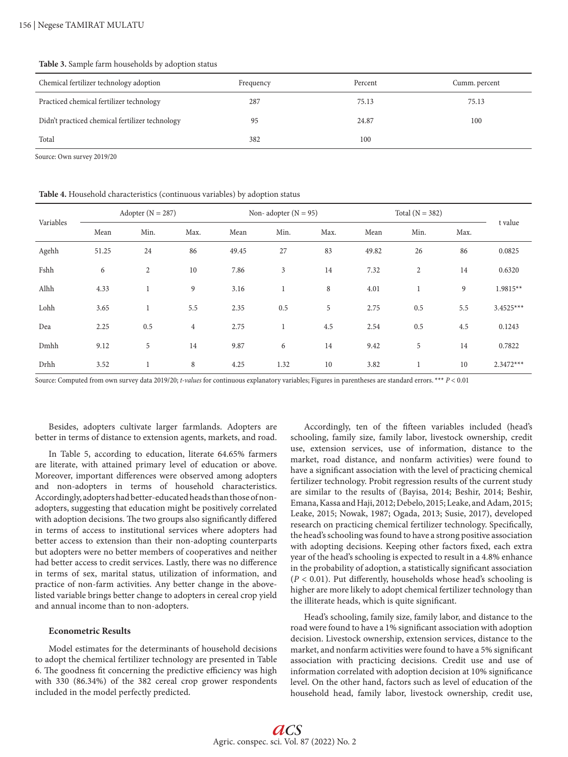Chemical fertilizer technology adoption Frequency Percent Cumm. percent Practiced chemical fertilizer technology 287 75.13 75.13 75.13 75.13 Didn't practiced chemical fertilizer technology 05 24.87 24.87 100 Total 100

**Table 3.** Sample farm households by adoption status

Source: Own survey 2019/20

**Table 4.** Household characteristics (continuous variables) by adoption status

| Variables |       | Adopter $(N = 287)$ |                |       | Non- adopter $(N = 95)$ |      |       | Total $(N = 382)$ |      |             |
|-----------|-------|---------------------|----------------|-------|-------------------------|------|-------|-------------------|------|-------------|
|           | Mean  | Min.                | Max.           | Mean  | Min.                    | Max. | Mean  | Min.              | Max. | t value     |
| Agehh     | 51.25 | 24                  | 86             | 49.45 | 27                      | 83   | 49.82 | 26                | 86   | 0.0825      |
| Fshh      | 6     | $\overline{2}$      | 10             | 7.86  | 3                       | 14   | 7.32  | $\overline{c}$    | 14   | 0.6320      |
| Alhh      | 4.33  | 1                   | 9              | 3.16  | 1                       | 8    | 4.01  | 1                 | 9    | $1.9815**$  |
| Lohh      | 3.65  | 1                   | 5.5            | 2.35  | 0.5                     | 5    | 2.75  | 0.5               | 5.5  | $3.4525***$ |
| Dea       | 2.25  | 0.5                 | $\overline{4}$ | 2.75  | 1                       | 4.5  | 2.54  | 0.5               | 4.5  | 0.1243      |
| Dmhh      | 9.12  | 5                   | 14             | 9.87  | 6                       | 14   | 9.42  | 5                 | 14   | 0.7822      |
| Drhh      | 3.52  | 1                   | 8              | 4.25  | 1.32                    | 10   | 3.82  |                   | 10   | $2.3472***$ |

Source: Computed from own survey data 2019/20; *t-values* for continuous explanatory variables; Figures in parentheses are standard errors. \*\*\* *P* < 0.01

Besides, adopters cultivate larger farmlands. Adopters are better in terms of distance to extension agents, markets, and road.

In Table 5, according to education, literate 64.65% farmers are literate, with attained primary level of education or above. Moreover, important differences were observed among adopters and non-adopters in terms of household characteristics. Accordingly, adopters had better-educated heads than those of nonadopters, suggesting that education might be positively correlated with adoption decisions. The two groups also significantly differed in terms of access to institutional services where adopters had better access to extension than their non-adopting counterparts but adopters were no better members of cooperatives and neither had better access to credit services. Lastly, there was no difference in terms of sex, marital status, utilization of information, and practice of non-farm activities. Any better change in the abovelisted variable brings better change to adopters in cereal crop yield and annual income than to non-adopters.

# **Econometric Results**

Model estimates for the determinants of household decisions to adopt the chemical fertilizer technology are presented in Table 6. The goodness fit concerning the predictive efficiency was high with 330 (86.34%) of the 382 cereal crop grower respondents included in the model perfectly predicted.

Accordingly, ten of the fifteen variables included (head's schooling, family size, family labor, livestock ownership, credit use, extension services, use of information, distance to the market, road distance, and nonfarm activities) were found to have a significant association with the level of practicing chemical fertilizer technology. Probit regression results of the current study are similar to the results of (Bayisa, 2014; Beshir, 2014; Beshir, Emana, Kassa and Haji, 2012; Debelo, 2015; Leake, and Adam, 2015; Leake, 2015; Nowak, 1987; Ogada, 2013; Susie, 2017), developed research on practicing chemical fertilizer technology. Specifically, the head's schooling was found to have a strong positive association with adopting decisions. Keeping other factors fixed, each extra year of the head's schooling is expected to result in a 4.8% enhance in the probability of adoption, a statistically significant association  $(P < 0.01)$ . Put differently, households whose head's schooling is higher are more likely to adopt chemical fertilizer technology than the illiterate heads, which is quite significant.

Head's schooling, family size, family labor, and distance to the road were found to have a 1% significant association with adoption decision. Livestock ownership, extension services, distance to the market, and nonfarm activities were found to have a 5% significant association with practicing decisions. Credit use and use of information correlated with adoption decision at 10% significance level. On the other hand, factors such as level of education of the household head, family labor, livestock ownership, credit use,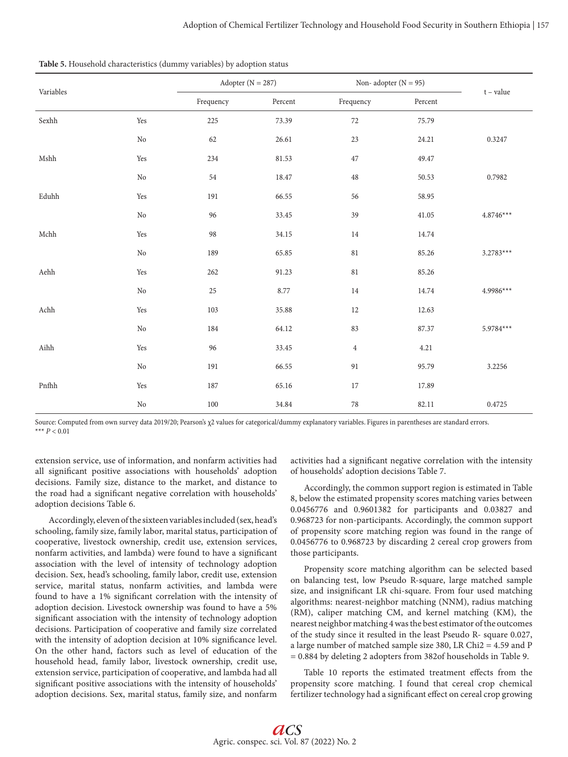| Variables   |                      | Adopter ( $N = 287$ ) |         |                | Non-adopter $(N = 95)$ |             |  |
|-------------|----------------------|-----------------------|---------|----------------|------------------------|-------------|--|
|             |                      | Frequency             | Percent | Frequency      | Percent                | $t - value$ |  |
| Sexhh       | Yes                  | 225                   | 73.39   | 72             | 75.79                  |             |  |
|             | $\rm No$             | 62                    | 26.61   | 23             | 24.21                  | 0.3247      |  |
| Mshh        | Yes                  | 234                   | 81.53   | $47\,$         | 49.47                  |             |  |
|             | $\rm No$             | $54\,$                | 18.47   | $48\,$         | 50.53                  | 0.7982      |  |
| Eduhh       | Yes                  | 191                   | 66.55   | 56             | 58.95                  |             |  |
|             | $\rm No$             | 96                    | 33.45   | 39             | 41.05                  | $4.8746***$ |  |
| Mchh        | Yes                  | 98                    | 34.15   | 14             | 14.74                  |             |  |
|             | $\rm No$             | 189                   | 65.85   | $81\,$         | 85.26                  | $3.2783***$ |  |
| Aehh        | $\operatorname{Yes}$ | 262                   | 91.23   | $81\,$         | 85.26                  |             |  |
|             | $\rm No$             | $25\,$                | 8.77    | $14\,$         | 14.74                  | 4.9986***   |  |
| Achh        | $\operatorname{Yes}$ | 103                   | 35.88   | $12\,$         | 12.63                  |             |  |
|             | $\rm No$             | 184                   | 64.12   | 83             | 87.37                  | 5.9784***   |  |
| $\rm{Aihh}$ | Yes                  | 96                    | 33.45   | $\overline{4}$ | 4.21                   |             |  |
|             | $\rm No$             | 191                   | 66.55   | 91             | 95.79                  | 3.2256      |  |
| Pnfhh       | Yes                  | 187                   | 65.16   | 17             | 17.89                  |             |  |
|             | $\rm No$             | 100                   | 34.84   | $78\,$         | 82.11                  | 0.4725      |  |

Source: Computed from own survey data 2019/20; Pearson's χ2 values for categorical/dummy explanatory variables. Figures in parentheses are standard errors. \*\*\* *P* < 0.01

extension service, use of information, and nonfarm activities had all significant positive associations with households' adoption decisions. Family size, distance to the market, and distance to the road had a significant negative correlation with households' adoption decisions Table 6.

Accordingly, eleven of the sixteen variables included (sex, head's schooling, family size, family labor, marital status, participation of cooperative, livestock ownership, credit use, extension services, nonfarm activities, and lambda) were found to have a significant association with the level of intensity of technology adoption decision. Sex, head's schooling, family labor, credit use, extension service, marital status, nonfarm activities, and lambda were found to have a 1% significant correlation with the intensity of adoption decision. Livestock ownership was found to have a 5% significant association with the intensity of technology adoption decisions. Participation of cooperative and family size correlated with the intensity of adoption decision at 10% significance level. On the other hand, factors such as level of education of the household head, family labor, livestock ownership, credit use, extension service, participation of cooperative, and lambda had all significant positive associations with the intensity of households' adoption decisions. Sex, marital status, family size, and nonfarm

activities had a significant negative correlation with the intensity of households' adoption decisions Table 7.

Accordingly, the common support region is estimated in Table 8, below the estimated propensity scores matching varies between 0.0456776 and 0.9601382 for participants and 0.03827 and 0.968723 for non-participants. Accordingly, the common support of propensity score matching region was found in the range of 0.0456776 to 0.968723 by discarding 2 cereal crop growers from those participants.

Propensity score matching algorithm can be selected based on balancing test, low Pseudo R-square, large matched sample size, and insignificant LR chi-square. From four used matching algorithms: nearest-neighbor matching (NNM), radius matching (RM), caliper matching CM, and kernel matching (KM), the nearest neighbor matching 4 was the best estimator of the outcomes of the study since it resulted in the least Pseudo R- square 0.027, a large number of matched sample size 380, LR Chi2 = 4.59 and P = 0.884 by deleting 2 adopters from 382of households in Table 9.

Table 10 reports the estimated treatment effects from the propensity score matching. I found that cereal crop chemical fertilizer technology had a significant effect on cereal crop growing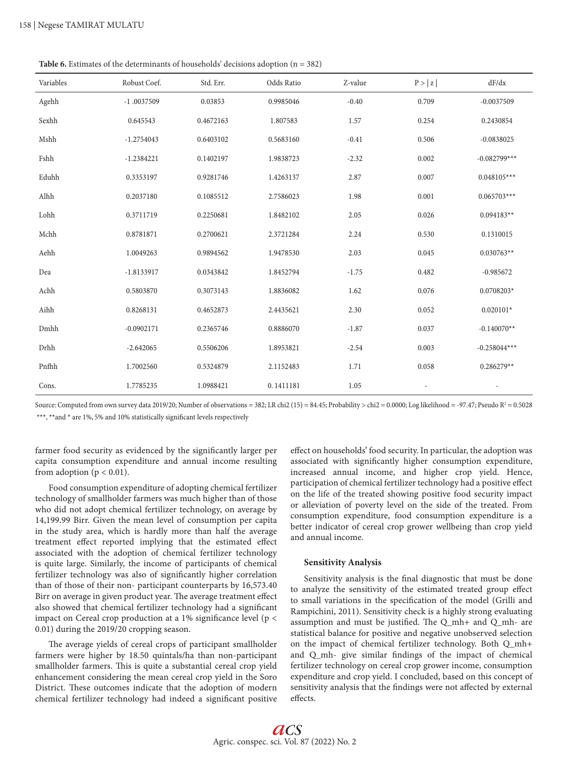**Table 6.** Estimates of the determinants of households' decisions adoption (n = 382)

| Variables | Robust Coef. | Std. Err. | Odds Ratio | Z-value | P >  z | dF/dx          |
|-----------|--------------|-----------|------------|---------|--------|----------------|
| Agehh     | $-1.0037509$ | 0.03853   | 0.9985046  | $-0.40$ | 0.709  | $-0.0037509$   |
| Sexhh     | 0.645543     | 0.4672163 | 1.807583   | 1.57    | 0.254  | 0.2430854      |
| Mshh      | $-1.2754043$ | 0.6403102 | 0.5683160  | $-0.41$ | 0.506  | $-0.0838025$   |
| Fshh      | $-1.2384221$ | 0.1402197 | 1.9838723  | $-2.32$ | 0.002  | $-0.082799***$ |
| Eduhh     | 0.3353197    | 0.9281746 | 1.4263137  | 2.87    | 0.007  | $0.048105***$  |
| Alhh      | 0.2037180    | 0.1085512 | 2.7586023  | 1.98    | 0.001  | $0.065703***$  |
| Lohh      | 0.3711719    | 0.2250681 | 1.8482102  | 2.05    | 0.026  | $0.094183**$   |
| Mchh      | 0.8781871    | 0.2700621 | 2.3721284  | 2.24    | 0.530  | 0.1310015      |
| Aehh      | 1.0049263    | 0.9894562 | 1.9478530  | 2.03    | 0.045  | $0.030763**$   |
| Dea       | $-1.8133917$ | 0.0343842 | 1.8452794  | $-1.75$ | 0.482  | $-0.985672$    |
| Achh      | 0.5803870    | 0.3073143 | 1.8836082  | 1.62    | 0.076  | $0.0708203*$   |
| Aihh      | 0.8268131    | 0.4652873 | 2.4435621  | 2.30    | 0.052  | $0.020101*$    |
| Dmhh      | $-0.0902171$ | 0.2365746 | 0.8886070  | $-1.87$ | 0.037  | $-0.140070**$  |
| Drhh      | $-2.642065$  | 0.5506206 | 1.8953821  | $-2.54$ | 0.003  | $-0.258044***$ |
| Pnfhh     | 1.7002560    | 0.5324879 | 2.1152483  | 1.71    | 0.058  | $0.286279**$   |
| Cons.     | 1.7785235    | 1.0988421 | 0.1411181  | 1.05    |        |                |

Source: Computed from own survey data 2019/20; Number of observations = 382; LR chi2 (15) = 84.45; Probability > chi2 = 0.0000; Log likelihood = -97.47; Pseudo R² = 0.5028 \*\*\*, \*\*and \* are 1%, 5% and 10% statistically significant levels respectively

farmer food security as evidenced by the significantly larger per capita consumption expenditure and annual income resulting from adoption ( $p < 0.01$ ).

Food consumption expenditure of adopting chemical fertilizer technology of smallholder farmers was much higher than of those who did not adopt chemical fertilizer technology, on average by 14,199.99 Birr. Given the mean level of consumption per capita in the study area, which is hardly more than half the average treatment effect reported implying that the estimated effect associated with the adoption of chemical fertilizer technology is quite large. Similarly, the income of participants of chemical fertilizer technology was also of significantly higher correlation than of those of their non- participant counterparts by 16,573.40 Birr on average in given product year. The average treatment effect also showed that chemical fertilizer technology had a significant impact on Cereal crop production at a 1% significance level (p < 0.01) during the 2019/20 cropping season.

The average yields of cereal crops of participant smallholder farmers were higher by 18.50 quintals/ha than non-participant smallholder farmers. This is quite a substantial cereal crop yield enhancement considering the mean cereal crop yield in the Soro District. These outcomes indicate that the adoption of modern chemical fertilizer technology had indeed a significant positive

effect on households' food security. In particular, the adoption was associated with significantly higher consumption expenditure, increased annual income, and higher crop yield. Hence, participation of chemical fertilizer technology had a positive effect on the life of the treated showing positive food security impact or alleviation of poverty level on the side of the treated. From consumption expenditure, food consumption expenditure is a better indicator of cereal crop grower wellbeing than crop yield and annual income.

#### **Sensitivity Analysis**

Sensitivity analysis is the final diagnostic that must be done to analyze the sensitivity of the estimated treated group effect to small variations in the specification of the model (Grilli and Rampichini, 2011). Sensitivity check is a highly strong evaluating assumption and must be justified. The Q\_mh+ and Q\_mh- are statistical balance for positive and negative unobserved selection on the impact of chemical fertilizer technology. Both Q\_mh+ and Q\_mh- give similar findings of the impact of chemical fertilizer technology on cereal crop grower income, consumption expenditure and crop yield. I concluded, based on this concept of sensitivity analysis that the findings were not affected by external effects.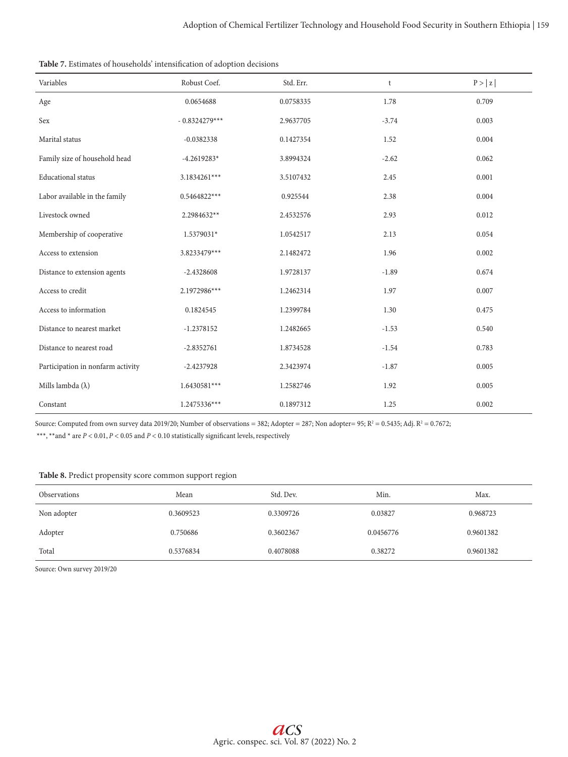| Variables                         | Robust Coef.    | Std. Err. | t       | P >  z |
|-----------------------------------|-----------------|-----------|---------|--------|
| Age                               | 0.0654688       | 0.0758335 | 1.78    | 0.709  |
| Sex                               | $-0.8324279***$ | 2.9637705 | $-3.74$ | 0.003  |
| Marital status                    | $-0.0382338$    | 0.1427354 | 1.52    | 0.004  |
| Family size of household head     | $-4.2619283*$   | 3.8994324 | $-2.62$ | 0.062  |
| <b>Educational</b> status         | 3.1834261***    | 3.5107432 | 2.45    | 0.001  |
| Labor available in the family     | $0.5464822***$  | 0.925544  | 2.38    | 0.004  |
| Livestock owned                   | 2.2984632**     | 2.4532576 | 2.93    | 0.012  |
| Membership of cooperative         | 1.5379031*      | 1.0542517 | 2.13    | 0.054  |
| Access to extension               | 3.8233479***    | 2.1482472 | 1.96    | 0.002  |
| Distance to extension agents      | $-2.4328608$    | 1.9728137 | $-1.89$ | 0.674  |
| Access to credit                  | 2.1972986***    | 1.2462314 | 1.97    | 0.007  |
| Access to information             | 0.1824545       | 1.2399784 | 1.30    | 0.475  |
| Distance to nearest market        | $-1.2378152$    | 1.2482665 | $-1.53$ | 0.540  |
| Distance to nearest road          | $-2.8352761$    | 1.8734528 | $-1.54$ | 0.783  |
| Participation in nonfarm activity | $-2.4237928$    | 2.3423974 | $-1.87$ | 0.005  |
| Mills lambda $(\lambda)$          | $1.6430581***$  | 1.2582746 | 1.92    | 0.005  |
| Constant                          | 1.2475336***    | 0.1897312 | 1.25    | 0.002  |

Source: Computed from own survey data 2019/20; Number of observations = 382; Adopter = 287; Non adopter= 95; R $^2$  = 0.5435; Adj. R $^2$  = 0.7672;

\*\*\*, \*\*and \* are  $P < 0.01$ ,  $P < 0.05$  and  $P < 0.10$  statistically significant levels, respectively

# **Table 8.** Predict propensity score common support region

| <b>Observations</b> | Mean      | Std. Dev.              | Min.    | Max.      |
|---------------------|-----------|------------------------|---------|-----------|
| Non adopter         | 0.3609523 | 0.3309726              | 0.03827 | 0.968723  |
| Adopter             | 0.750686  | 0.3602367<br>0.0456776 |         | 0.9601382 |
| Total               | 0.5376834 | 0.4078088              | 0.38272 | 0.9601382 |

Source: Own survey 2019/20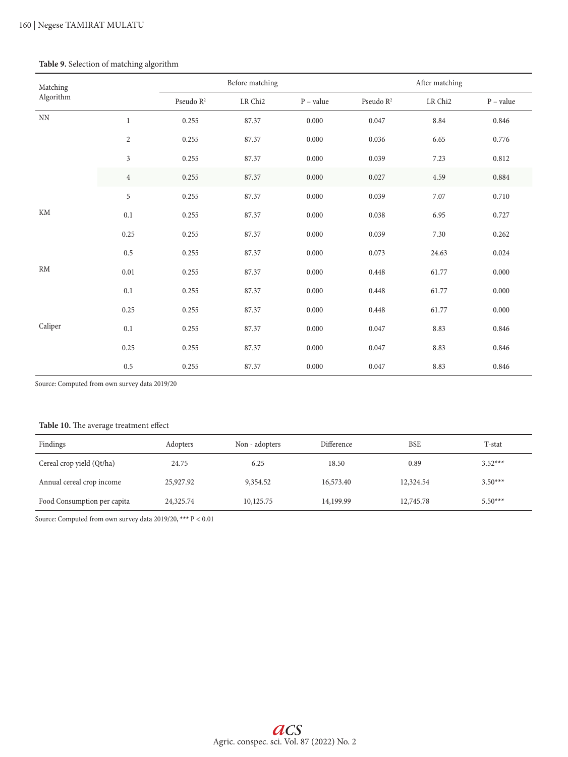# **Table 9.** Selection of matching algorithm

| Matching      |                |                       | Before matching |             |                       | After matching  |             |
|---------------|----------------|-----------------------|-----------------|-------------|-----------------------|-----------------|-------------|
| Algorithm     |                | Pseudo $\mathbb{R}^2$ | ${\rm LR}$ Chi2 | $P$ – value | Pseudo $\mathbb{R}^2$ | ${\rm LR}$ Chi2 | $P - value$ |
| $\mathrm{NN}$ | $\mathbf{1}$   | 0.255                 | 87.37           | 0.000       | 0.047                 | 8.84            | 0.846       |
|               | $\mathbf{2}$   | 0.255                 | 87.37           | 0.000       | 0.036                 | 6.65            | 0.776       |
|               | $\mathfrak{Z}$ | 0.255                 | 87.37           | 0.000       | 0.039                 | 7.23            | 0.812       |
|               | $\overline{4}$ | 0.255                 | 87.37           | 0.000       | 0.027                 | 4.59            | 0.884       |
|               | 5              | 0.255                 | 87.37           | 0.000       | 0.039                 | 7.07            | 0.710       |
| KM            | $0.1\,$        | 0.255                 | 87.37           | 0.000       | 0.038                 | 6.95            | 0.727       |
|               | 0.25           | 0.255                 | 87.37           | 0.000       | 0.039                 | 7.30            | 0.262       |
|               | 0.5            | 0.255                 | 87.37           | 0.000       | 0.073                 | 24.63           | 0.024       |
| RM            | $0.01\,$       | 0.255                 | 87.37           | 0.000       | 0.448                 | 61.77           | 0.000       |
|               | 0.1            | 0.255                 | 87.37           | 0.000       | 0.448                 | 61.77           | 0.000       |
|               | 0.25           | 0.255                 | 87.37           | 0.000       | 0.448                 | 61.77           | 0.000       |
| Caliper       | $0.1\,$        | 0.255                 | 87.37           | 0.000       | 0.047                 | 8.83            | 0.846       |
|               | 0.25           | 0.255                 | 87.37           | 0.000       | 0.047                 | 8.83            | 0.846       |
|               | $0.5\,$        | 0.255                 | 87.37           | 0.000       | 0.047                 | 8.83            | 0.846       |

Source: Computed from own survey data 2019/20

# **Table 10.** The average treatment effect

| Findings                    | Adopters  | Non - adopters | Difference | <b>BSE</b> | T-stat    |
|-----------------------------|-----------|----------------|------------|------------|-----------|
| Cereal crop yield (Qt/ha)   | 24.75     | 6.25           | 18.50      | 0.89       | $3.52***$ |
| Annual cereal crop income   | 25,927.92 | 9,354.52       | 16,573.40  | 12,324.54  | $3.50***$ |
| Food Consumption per capita | 24,325.74 | 10,125.75      | 14,199.99  | 12,745.78  | $5.50***$ |

Source: Computed from own survey data 2019/20, \*\*\* P < 0.01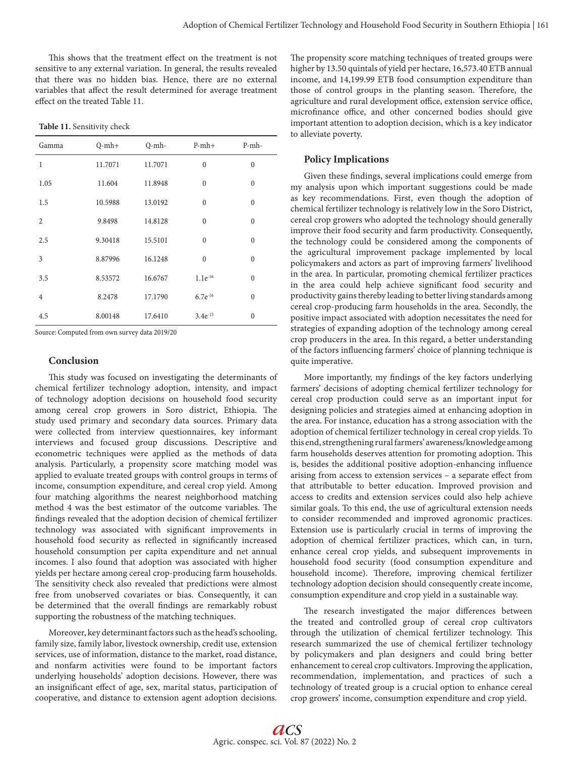This shows that the treatment effect on the treatment is not sensitive to any external variation. In general, the results revealed that there was no hidden bias. Hence, there are no external variables that affect the result determined for average treatment effect on the treated Table 11.

**Table 11.** Sensitivity check

| Gamma          | $Q-mh+$ | $Q$ -mh- | $P-mh+$      | $P-mh-$      |
|----------------|---------|----------|--------------|--------------|
| $\mathbf{1}$   | 11.7071 | 11.7071  | $\theta$     | $\mathbf{0}$ |
| 1.05           | 11.604  | 11.8948  | $\theta$     | $\mathbf{0}$ |
| 1.5            | 10.5988 | 13.0192  | $\theta$     | $\theta$     |
| $\overline{2}$ | 9.8498  | 14.8128  | $\theta$     | $\mathbf{0}$ |
| 2.5            | 9.30418 | 15.5101  | $\theta$     | $\mathbf{0}$ |
| 3              | 8.87996 | 16.1248  | $\theta$     | $\mathbf{0}$ |
| 3.5            | 8.53572 | 16.6767  | $1.1e^{-16}$ | $\mathbf{0}$ |
| $\overline{4}$ | 8.2478  | 17.1790  | $6.7e^{-16}$ | $\mathbf{0}$ |
| 4.5            | 8.00148 | 17.6410  | $3.4e^{-15}$ | $\mathbf{0}$ |

Source: Computed from own survey data 2019/20

# **Conclusion**

This study was focused on investigating the determinants of chemical fertilizer technology adoption, intensity, and impact of technology adoption decisions on household food security among cereal crop growers in Soro district, Ethiopia. The study used primary and secondary data sources. Primary data were collected from interview questionnaires, key informant interviews and focused group discussions. Descriptive and econometric techniques were applied as the methods of data analysis. Particularly, a propensity score matching model was applied to evaluate treated groups with control groups in terms of income, consumption expenditure, and cereal crop yield. Among four matching algorithms the nearest neighborhood matching method 4 was the best estimator of the outcome variables. The findings revealed that the adoption decision of chemical fertilizer technology was associated with significant improvements in household food security as reflected in significantly increased household consumption per capita expenditure and net annual incomes. I also found that adoption was associated with higher yields per hectare among cereal crop-producing farm households. The sensitivity check also revealed that predictions were almost free from unobserved covariates or bias. Consequently, it can be determined that the overall findings are remarkably robust supporting the robustness of the matching techniques.

Moreover, key determinant factors such as the head's schooling, family size, family labor, livestock ownership, credit use, extension services, use of information, distance to the market, road distance, and nonfarm activities were found to be important factors underlying households' adoption decisions. However, there was an insignificant effect of age, sex, marital status, participation of cooperative, and distance to extension agent adoption decisions.

The propensity score matching techniques of treated groups were higher by 13.50 quintals of yield per hectare, 16,573.40 ETB annual income, and 14,199.99 ETB food consumption expenditure than those of control groups in the planting season. Therefore, the agriculture and rural development office, extension service office, microfinance office, and other concerned bodies should give important attention to adoption decision, which is a key indicator to alleviate poverty.

# **Policy Implications**

Given these findings, several implications could emerge from my analysis upon which important suggestions could be made as key recommendations. First, even though the adoption of chemical fertilizer technology is relatively low in the Soro District, cereal crop growers who adopted the technology should generally improve their food security and farm productivity. Consequently, the technology could be considered among the components of the agricultural improvement package implemented by local policymakers and actors as part of improving farmers' livelihood in the area. In particular, promoting chemical fertilizer practices in the area could help achieve significant food security and productivity gains thereby leading to better living standards among cereal crop-producing farm households in the area. Secondly, the positive impact associated with adoption necessitates the need for strategies of expanding adoption of the technology among cereal crop producers in the area. In this regard, a better understanding of the factors influencing farmers' choice of planning technique is quite imperative.

More importantly, my findings of the key factors underlying farmers' decisions of adopting chemical fertilizer technology for cereal crop production could serve as an important input for designing policies and strategies aimed at enhancing adoption in the area. For instance, education has a strong association with the adoption of chemical fertilizer technology in cereal crop yields. To this end, strengthening rural farmers' awareness/knowledge among farm households deserves attention for promoting adoption. This is, besides the additional positive adoption-enhancing influence arising from access to extension services – a separate effect from that attributable to better education. Improved provision and access to credits and extension services could also help achieve similar goals. To this end, the use of agricultural extension needs to consider recommended and improved agronomic practices. Extension use is particularly crucial in terms of improving the adoption of chemical fertilizer practices, which can, in turn, enhance cereal crop yields, and subsequent improvements in household food security (food consumption expenditure and household income). Therefore, improving chemical fertilizer technology adoption decision should consequently create income, consumption expenditure and crop yield in a sustainable way.

The research investigated the major differences between the treated and controlled group of cereal crop cultivators through the utilization of chemical fertilizer technology. This research summarized the use of chemical fertilizer technology by policymakers and plan designers and could bring better enhancement to cereal crop cultivators. Improving the application, recommendation, implementation, and practices of such a technology of treated group is a crucial option to enhance cereal crop growers' income, consumption expenditure and crop yield.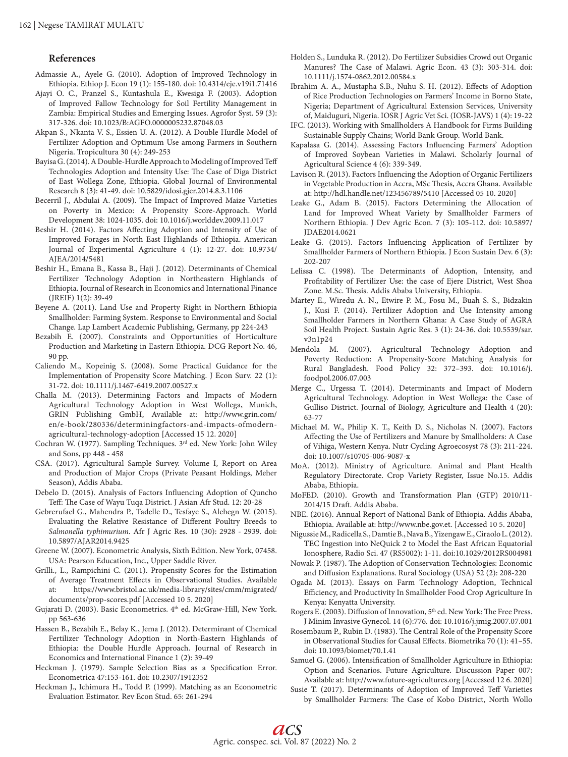# **References**

- Admassie A., Ayele G. (2010). Adoption of Improved Technology in Ethiopia. Ethiop J. Econ 19 (1): 155-180. doi: 10.4314/eje.v19i1.71416
- Ajayi O. C., Franzel S., Kuntashula E., Kwesiga F. (2003). Adoption of Improved Fallow Technology for Soil Fertility Management in Zambia: Empirical Studies and Emerging Issues. Agrofor Syst. 59 (3): 317-326. doi: 10.1023/B:AGFO.0000005232.87048.03
- Akpan S., Nkanta V. S., Essien U. A. (2012). A Double Hurdle Model of Fertilizer Adoption and Optimum Use among Farmers in Southern Nigeria. Tropicultura 30 (4): 249-253
- Bayisa G. (2014). A Double-Hurdle Approach to Modeling of Improved Teff Technologies Adoption and Intensity Use: The Case of Diga District of East Wollega Zone, Ethiopia. Global Journal of Environmental Research 8 (3): 41-49. doi: 10.5829/idosi.gjer.2014.8.3.1106
- Becerril J., Abdulai A. (2009). The Impact of Improved Maize Varieties on Poverty in Mexico: A Propensity Score-Approach. World Development 38: 1024-1035. doi: 10.1016/j.worlddev.2009.11.017
- Beshir H. (2014). Factors Affecting Adoption and Intensity of Use of Improved Forages in North East Highlands of Ethiopia. American Journal of Experimental Agriculture 4 (1): 12-27. doi: 10.9734/ AJEA/2014/5481
- Beshir H., Emana B., Kassa B., Haji J. (2012). Determinants of Chemical Fertilizer Technology Adoption in Northeastern Highlands of Ethiopia. Journal of Research in Economics and International Finance (JREIF) 1(2): 39-49
- Beyene A. (2011). Land Use and Property Right in Northern Ethiopia Smallholder: Farming System. Response to Environmental and Social Change. Lap Lambert Academic Publishing, Germany, pp 224-243
- Bezabih E. (2007). Constraints and Opportunities of Horticulture Production and Marketing in Eastern Ethiopia. DCG Report No. 46, 90 pp.
- Caliendo M., Kopeinig S. (2008). Some Practical Guidance for the Implementation of Propensity Score Matching. J Econ Surv. 22 (1): 31-72. doi: 10.1111/j.1467-6419.2007.00527.x
- Challa M. (2013). Determining Factors and Impacts of Modern Agricultural Technology Adoption in West Wollega, Munich, GRIN Publishing GmbH, Available at: http://www.grin.com/ en/e-book/280336/determiningfactors-and-impacts-ofmodernagricultural-technology-adoption [Accessed 15 12. 2020]
- Cochran W. (1977). Sampling Techniques. 3rd ed. New York: John Wiley and Sons, pp 448 - 458
- CSA. (2017). Agricultural Sample Survey. Volume I, Report on Area and Production of Major Crops (Private Peasant Holdings, Meher Season), Addis Ababa.
- Debelo D. (2015). Analysis of Factors Influencing Adoption of Quncho Teff: The Case of Wayu Tuqa District. J Asian Afr Stud. 12: 20-28
- Gebrerufael G., Mahendra P., Tadelle D., Tesfaye S., Alehegn W. (2015). Evaluating the Relative Resistance of Different Poultry Breeds to *Salmonella typhimurium*. Afr J Agric Res. 10 (30): 2928 - 2939. doi: 10.5897/AJAR2014.9425
- Greene W. (2007). Econometric Analysis, Sixth Edition. New York, 07458. USA: Pearson Education, Inc., Upper Saddle River.
- Grilli., L., Rampichini C. (2011). Propensity Scores for the Estimation of Average Treatment Effects in Observational Studies. Available at: https://www.bristol.ac.uk/media-library/sites/cmm/migrated/ documents/prop-scores.pdf [Accessed 10 5. 2020]
- Gujarati D. (2003). Basic Econometrics. 4<sup>th</sup> ed. McGraw-Hill, New York. pp 563-636
- Hassen B., Bezabih E., Belay K., Jema J. (2012). Determinant of Chemical Fertilizer Technology Adoption in North-Eastern Highlands of Ethiopia: the Double Hurdle Approach. Journal of Research in Economics and International Finance 1 (2): 39-49
- Heckman J. (1979). Sample Selection Bias as a Specification Error. Econometrica 47:153-161. doi: 10.2307/1912352
- Heckman J., Ichimura H., Todd P. (1999). Matching as an Econometric Evaluation Estimator. Rev Econ Stud. 65: 261-294
- Holden S., Lunduka R. (2012). Do Fertilizer Subsidies Crowd out Organic Manures? The Case of Malawi. Agric Econ. 43 (3): 303-314. doi: 10.1111/j.1574-0862.2012.00584.x
- Ibrahim A. A., Mustapha S.B., Nuhu S. H. (2012). Effects of Adoption of Rice Production Technologies on Farmers' Income in Borno State, Nigeria; Department of Agricultural Extension Services, University of, Maiduguri, Nigeria. IOSR J Agric Vet Sci. (IOSR-JAVS) 1 (4): 19-22
- IFC. (2013). Working with Smallholders A Handbook for Firms Building Sustainable Supply Chains; World Bank Group. World Bank.
- Kapalasa G. (2014). Assessing Factors Influencing Farmers' Adoption of Improved Soybean Varieties in Malawi. Scholarly Journal of Agricultural Science 4 (6): 339-349.
- Lavison R. (2013). Factors Influencing the Adoption of Organic Fertilizers in Vegetable Production in Accra, MSc Thesis, Accra Ghana. Available at: http://hdl.handle.net/123456789/5410 [Accessed 05 10. 2020]
- Leake G., Adam B. (2015). Factors Determining the Allocation of Land for Improved Wheat Variety by Smallholder Farmers of Northern Ethiopia. J Dev Agric Econ. 7 (3): 105-112. doi: 10.5897/ JDAE2014.0621
- Leake G. (2015). Factors Influencing Application of Fertilizer by Smallholder Farmers of Northern Ethiopia. J Econ Sustain Dev. 6 (3): 202-207
- Lelissa C. (1998). The Determinants of Adoption, Intensity, and Profitability of Fertilizer Use: the case of Ejere District, West Shoa Zone. M.Sc. Thesis. Addis Ababa University, Ethiopia.
- Martey E., Wiredu A. N., Etwire P. M., Fosu M., Buah S. S., Bidzakin J., Kusi F. (2014). Fertilizer Adoption and Use Intensity among Smallholder Farmers in Northern Ghana: A Case Study of AGRA Soil Health Project. Sustain Agric Res. 3 (1): 24-36. doi: 10.5539/sar. v3n1p24
- Mendola M. (2007). Agricultural Technology Adoption and Poverty Reduction: A Propensity-Score Matching Analysis for Rural Bangladesh. Food Policy 32: 372–393. doi: 10.1016/j. foodpol.2006.07.003
- Merge C., Urgessa T. (2014). Determinants and Impact of Modern Agricultural Technology. Adoption in West Wollega: the Case of Gulliso District. Journal of Biology, Agriculture and Health 4 (20): 63-77
- Michael M. W., Philip K. T., Keith D. S., Nicholas N. (2007). Factors Affecting the Use of Fertilizers and Manure by Smallholders: A Case of Vihiga, Western Kenya. Nutr Cycling Agroecosyst 78 (3): 211-224. doi: 10.1007/s10705-006-9087-x
- MoA. (2012). Ministry of Agriculture. Animal and Plant Health Regulatory Directorate. Crop Variety Register, Issue No.15. Addis Ababa, Ethiopia.
- MoFED. (2010). Growth and Transformation Plan (GTP) 2010/11- 2014/15 Draft. Addis Ababa.
- NBE. (2016). Annual Report of National Bank of Ethiopia. Addis Ababa, Ethiopia. Available at: http://www.nbe.gov.et. [Accessed 10 5. 2020]
- Nigussie M., Radicella S., Damtie B., Nava B., Yizengaw E., Ciraolo L. (2012). TEC Ingestion into NeQuick 2 to Model the East African Equatorial Ionosphere, Radio Sci. 47 (RS5002): 1-11. doi:10.1029/2012RS004981
- Nowak P. (1987). The Adoption of Conservation Technologies: Economic and Diffusion Explanations. Rural Sociology (USA) 52 (2): 208-220
- Ogada M. (2013). Essays on Farm Technology Adoption, Technical Efficiency, and Productivity In Smallholder Food Crop Agriculture In Kenya: Kenyatta University.
- Rogers E. (2003). Diffusion of Innovation, 5<sup>th</sup> ed. New York: The Free Press. J Minim Invasive Gynecol. 14 (6):776. doi: 10.1016/j.jmig.2007.07.001
- Rosembaum P., Rubin D. (1983). The Central Role of the Propensity Score in Observational Studies for Causal Effects. Biometrika 70 (1): 41–55. doi: 10.1093/biomet/70.1.41
- Samuel G. (2006). Intensification of Smallholder Agriculture in Ethiopia: Option and Scenarios. Future Agriculture. Discussion Paper 007: Available at: http://www.future-agricultures.org [Accessed 12 6. 2020]
- Susie T. (2017). Determinants of Adoption of Improved Teff Varieties by Smallholder Farmers: The Case of Kobo District, North Wollo